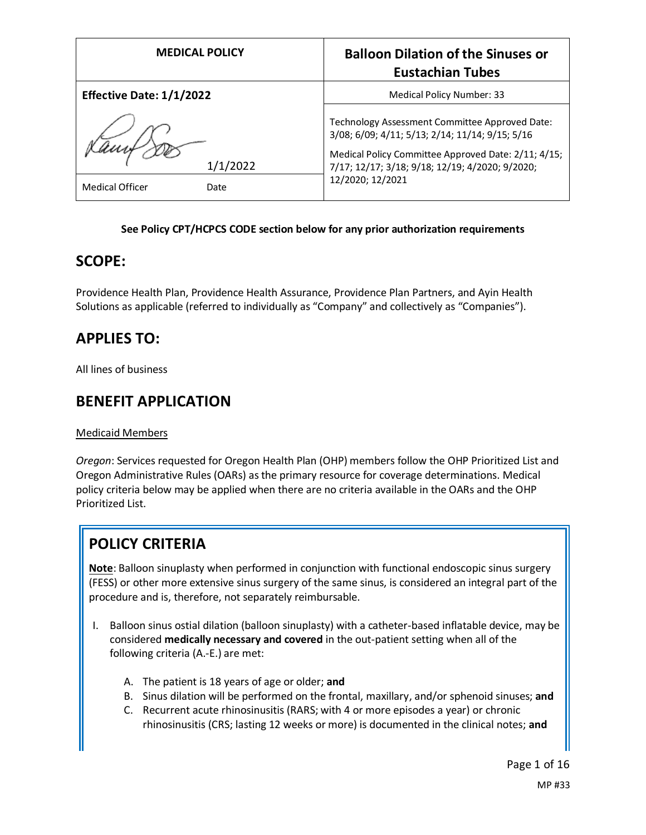| <b>MEDICAL POLICY</b>           |                  | <b>Balloon Dilation of the Sinuses or</b><br><b>Eustachian Tubes</b>                                                                                                                                                            |
|---------------------------------|------------------|---------------------------------------------------------------------------------------------------------------------------------------------------------------------------------------------------------------------------------|
| <b>Effective Date: 1/1/2022</b> |                  | Medical Policy Number: 33                                                                                                                                                                                                       |
| <b>Medical Officer</b>          | 1/1/2022<br>Date | Technology Assessment Committee Approved Date:<br>3/08; 6/09; 4/11; 5/13; 2/14; 11/14; 9/15; 5/16<br>Medical Policy Committee Approved Date: 2/11; 4/15;<br>7/17; 12/17; 3/18; 9/18; 12/19; 4/2020; 9/2020;<br>12/2020; 12/2021 |

## **See Policy CPT/HCPCS CODE section below for any prior authorization requirements**

# **SCOPE:**

Providence Health Plan, Providence Health Assurance, Providence Plan Partners, and Ayin Health Solutions as applicable (referred to individually as "Company" and collectively as "Companies").

# **APPLIES TO:**

All lines of business

# **BENEFIT APPLICATION**

Medicaid Members

*Oregon*: Services requested for Oregon Health Plan (OHP) members follow the OHP Prioritized List and Oregon Administrative Rules (OARs) as the primary resource for coverage determinations. Medical policy criteria below may be applied when there are no criteria available in the OARs and the OHP Prioritized List.

# **POLICY CRITERIA**

**Note**: Balloon sinuplasty when performed in conjunction with functional endoscopic sinus surgery (FESS) or other more extensive sinus surgery of the same sinus, is considered an integral part of the procedure and is, therefore, not separately reimbursable.

- I. Balloon sinus ostial dilation (balloon sinuplasty) with a catheter-based inflatable device, may be considered **medically necessary and covered** in the out-patient setting when all of the following criteria (A.-E.) are met:
	- A. The patient is 18 years of age or older; **and**
	- B. Sinus dilation will be performed on the frontal, maxillary, and/or sphenoid sinuses; **and**
	- C. Recurrent acute rhinosinusitis (RARS; with 4 or more episodes a year) or chronic rhinosinusitis (CRS; lasting 12 weeks or more) is documented in the clinical notes; **and**

Page 1 of 16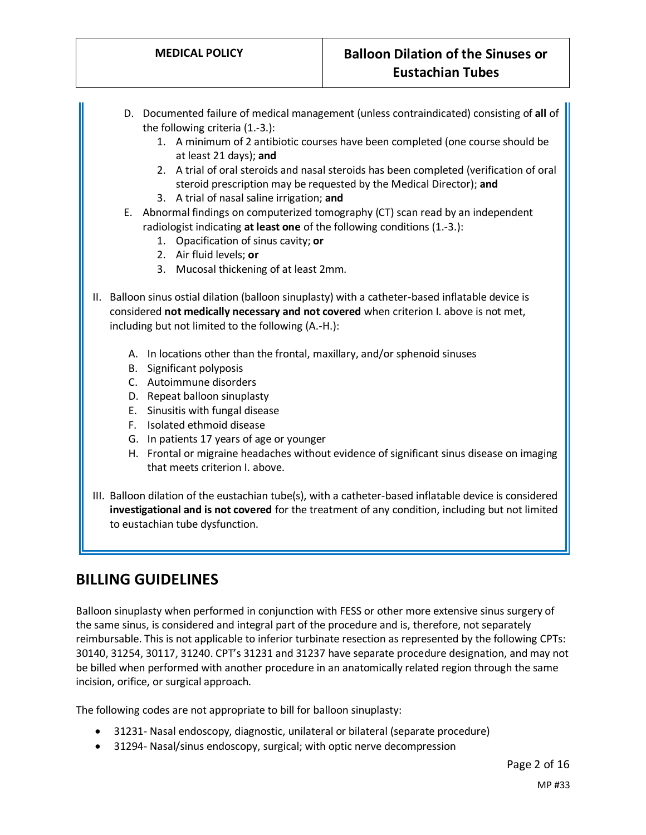- D. Documented failure of medical management (unless contraindicated) consisting of **all** of the following criteria (1.-3.):
	- 1. A minimum of 2 antibiotic courses have been completed (one course should be at least 21 days); **and**
	- 2. A trial of oral steroids and nasal steroids has been completed (verification of oral steroid prescription may be requested by the Medical Director); **and**
	- 3. A trial of nasal saline irrigation; **and**
- E. Abnormal findings on computerized tomography (CT) scan read by an independent radiologist indicating **at least one** of the following conditions (1.-3.):
	- 1. Opacification of sinus cavity; **or**
	- 2. Air fluid levels; **or**
	- 3. Mucosal thickening of at least 2mm.
- II. Balloon sinus ostial dilation (balloon sinuplasty) with a catheter-based inflatable device is considered **not medically necessary and not covered** when criterion I. above is not met, including but not limited to the following (A.-H.):
	- A. In locations other than the frontal, maxillary, and/or sphenoid sinuses
	- B. Significant polyposis
	- C. Autoimmune disorders
	- D. Repeat balloon sinuplasty
	- E. Sinusitis with fungal disease
	- F. Isolated ethmoid disease
	- G. In patients 17 years of age or younger
	- H. Frontal or migraine headaches without evidence of significant sinus disease on imaging that meets criterion I. above.
- III. Balloon dilation of the eustachian tube(s), with a catheter-based inflatable device is considered **investigational and is not covered** for the treatment of any condition, including but not limited to eustachian tube dysfunction.

# **BILLING GUIDELINES**

Balloon sinuplasty when performed in conjunction with FESS or other more extensive sinus surgery of the same sinus, is considered and integral part of the procedure and is, therefore, not separately reimbursable. This is not applicable to inferior turbinate resection as represented by the following CPTs: 30140, 31254, 30117, 31240. CPT's 31231 and 31237 have separate procedure designation, and may not be billed when performed with another procedure in an anatomically related region through the same incision, orifice, or surgical approach.

The following codes are not appropriate to bill for balloon sinuplasty:

- 31231- Nasal endoscopy, diagnostic, unilateral or bilateral (separate procedure)
- 31294- Nasal/sinus endoscopy, surgical; with optic nerve decompression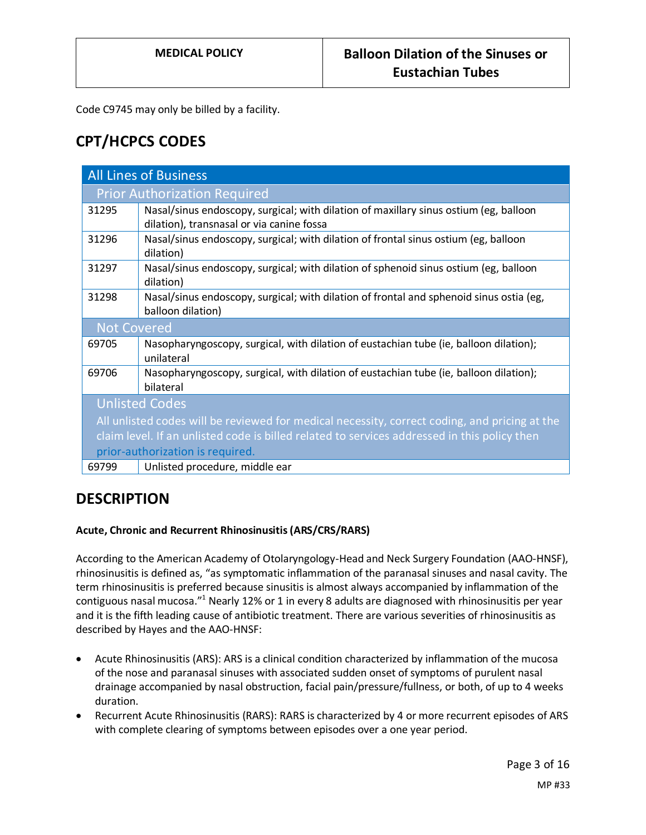Code C9745 may only be billed by a facility.

# **CPT/HCPCS CODES**

| <b>All Lines of Business</b>                                                                  |                                                                                                                                    |  |
|-----------------------------------------------------------------------------------------------|------------------------------------------------------------------------------------------------------------------------------------|--|
| <b>Prior Authorization Required</b>                                                           |                                                                                                                                    |  |
| 31295                                                                                         | Nasal/sinus endoscopy, surgical; with dilation of maxillary sinus ostium (eg, balloon<br>dilation), transnasal or via canine fossa |  |
| 31296                                                                                         | Nasal/sinus endoscopy, surgical; with dilation of frontal sinus ostium (eg, balloon<br>dilation)                                   |  |
| 31297                                                                                         | Nasal/sinus endoscopy, surgical; with dilation of sphenoid sinus ostium (eg, balloon<br>dilation)                                  |  |
| 31298                                                                                         | Nasal/sinus endoscopy, surgical; with dilation of frontal and sphenoid sinus ostia (eg,<br>balloon dilation)                       |  |
| <b>Not Covered</b>                                                                            |                                                                                                                                    |  |
| 69705                                                                                         | Nasopharyngoscopy, surgical, with dilation of eustachian tube (ie, balloon dilation);<br>unilateral                                |  |
| 69706                                                                                         | Nasopharyngoscopy, surgical, with dilation of eustachian tube (ie, balloon dilation);<br>bilateral                                 |  |
| <b>Unlisted Codes</b>                                                                         |                                                                                                                                    |  |
| All unlisted codes will be reviewed for medical necessity, correct coding, and pricing at the |                                                                                                                                    |  |
| claim level. If an unlisted code is billed related to services addressed in this policy then  |                                                                                                                                    |  |
| prior-authorization is required.                                                              |                                                                                                                                    |  |
| 69799                                                                                         | Unlisted procedure, middle ear                                                                                                     |  |

# **DESCRIPTION**

# **Acute, Chronic and Recurrent Rhinosinusitis (ARS/CRS/RARS)**

According to the American Academy of Otolaryngology-Head and Neck Surgery Foundation (AAO-HNSF), rhinosinusitis is defined as, "as symptomatic inflammation of the paranasal sinuses and nasal cavity. The term rhinosinusitis is preferred because sinusitis is almost always accompanied by inflammation of the contiguous nasal mucosa."<sup>1</sup> Nearly 12% or 1 in every 8 adults are diagnosed with rhinosinusitis per year and it is the fifth leading cause of antibiotic treatment. There are various severities of rhinosinusitis as described by Hayes and the AAO-HNSF:

- Acute Rhinosinusitis (ARS): ARS is a clinical condition characterized by inflammation of the mucosa of the nose and paranasal sinuses with associated sudden onset of symptoms of purulent nasal drainage accompanied by nasal obstruction, facial pain/pressure/fullness, or both, of up to 4 weeks duration.
- Recurrent Acute Rhinosinusitis (RARS): RARS is characterized by 4 or more recurrent episodes of ARS with complete clearing of symptoms between episodes over a one year period.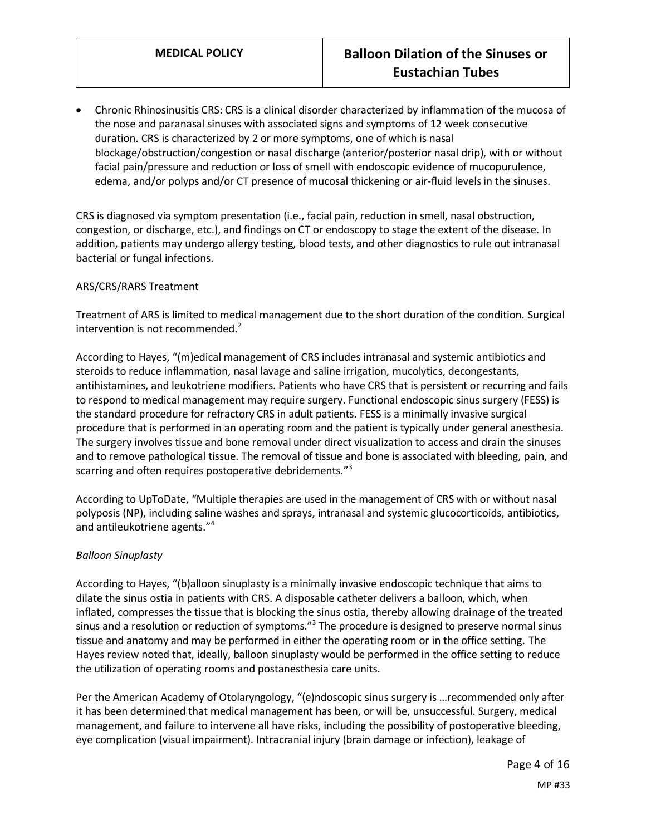• Chronic Rhinosinusitis CRS: CRS is a clinical disorder characterized by inflammation of the mucosa of the nose and paranasal sinuses with associated signs and symptoms of 12 week consecutive duration. CRS is characterized by 2 or more symptoms, one of which is nasal blockage/obstruction/congestion or nasal discharge (anterior/posterior nasal drip), with or without facial pain/pressure and reduction or loss of smell with endoscopic evidence of mucopurulence, edema, and/or polyps and/or CT presence of mucosal thickening or air-fluid levels in the sinuses.

CRS is diagnosed via symptom presentation (i.e., facial pain, reduction in smell, nasal obstruction, congestion, or discharge, etc.), and findings on CT or endoscopy to stage the extent of the disease. In addition, patients may undergo allergy testing, blood tests, and other diagnostics to rule out intranasal bacterial or fungal infections.

## ARS/CRS/RARS Treatment

Treatment of ARS is limited to medical management due to the short duration of the condition. Surgical intervention is not recommended. $2^2$ 

According to Hayes, "(m)edical management of CRS includes intranasal and systemic antibiotics and steroids to reduce inflammation, nasal lavage and saline irrigation, mucolytics, decongestants, antihistamines, and leukotriene modifiers. Patients who have CRS that is persistent or recurring and fails to respond to medical management may require surgery. Functional endoscopic sinus surgery (FESS) is the standard procedure for refractory CRS in adult patients. FESS is a minimally invasive surgical procedure that is performed in an operating room and the patient is typically under general anesthesia. The surgery involves tissue and bone removal under direct visualization to access and drain the sinuses and to remove pathological tissue. The removal of tissue and bone is associated with bleeding, pain, and scarring and often requires postoperative debridements."<sup>3</sup>

According to UpToDate, "Multiple therapies are used in the management of CRS with or without nasal polyposis (NP), including saline washes and sprays, intranasal and systemic glucocorticoids, antibiotics, and antileukotriene agents."<sup>4</sup>

## *Balloon Sinuplasty*

According to Hayes, "(b)alloon sinuplasty is a minimally invasive endoscopic technique that aims to dilate the sinus ostia in patients with CRS. A disposable catheter delivers a balloon, which, when inflated, compresses the tissue that is blocking the sinus ostia, thereby allowing drainage of the treated sinus and a resolution or reduction of symptoms."<sup>3</sup> The procedure is designed to preserve normal sinus tissue and anatomy and may be performed in either the operating room or in the office setting. The Hayes review noted that, ideally, balloon sinuplasty would be performed in the office setting to reduce the utilization of operating rooms and postanesthesia care units.

Per the American Academy of Otolaryngology, "(e)ndoscopic sinus surgery is …recommended only after it has been determined that medical management has been, or will be, unsuccessful. Surgery, medical management, and failure to intervene all have risks, including the possibility of postoperative bleeding, eye complication (visual impairment). Intracranial injury (brain damage or infection), leakage of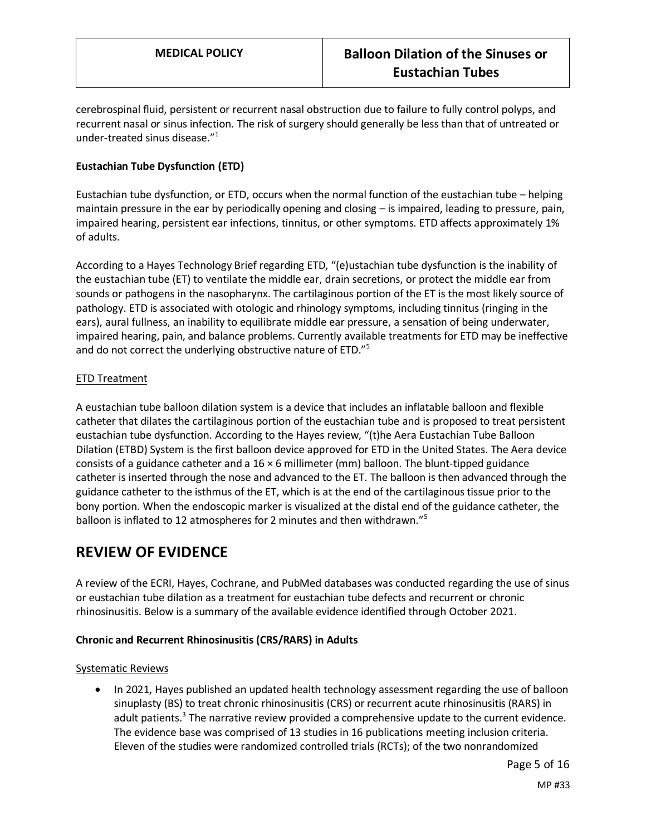cerebrospinal fluid, persistent or recurrent nasal obstruction due to failure to fully control polyps, and recurrent nasal or sinus infection. The risk of surgery should generally be less than that of untreated or under-treated sinus disease."<sup>1</sup>

## **Eustachian Tube Dysfunction (ETD)**

Eustachian tube dysfunction, or ETD, occurs when the normal function of the eustachian tube – helping maintain pressure in the ear by periodically opening and closing – is impaired, leading to pressure, pain, impaired hearing, persistent ear infections, tinnitus, or other symptoms. ETD affects approximately 1% of adults.

According to a Hayes Technology Brief regarding ETD, "(e)ustachian tube dysfunction is the inability of the eustachian tube (ET) to ventilate the middle ear, drain secretions, or protect the middle ear from sounds or pathogens in the nasopharynx. The cartilaginous portion of the ET is the most likely source of pathology. ETD is associated with otologic and rhinology symptoms, including tinnitus (ringing in the ears), aural fullness, an inability to equilibrate middle ear pressure, a sensation of being underwater, impaired hearing, pain, and balance problems. Currently available treatments for ETD may be ineffective and do not correct the underlying obstructive nature of ETD."<sup>5</sup>

## ETD Treatment

A eustachian tube balloon dilation system is a device that includes an inflatable balloon and flexible catheter that dilates the cartilaginous portion of the eustachian tube and is proposed to treat persistent eustachian tube dysfunction. According to the Hayes review, "(t)he Aera Eustachian Tube Balloon Dilation (ETBD) System is the first balloon device approved for ETD in the United States. The Aera device consists of a guidance catheter and a  $16 \times 6$  millimeter (mm) balloon. The blunt-tipped guidance catheter is inserted through the nose and advanced to the ET. The balloon is then advanced through the guidance catheter to the isthmus of the ET, which is at the end of the cartilaginous tissue prior to the bony portion. When the endoscopic marker is visualized at the distal end of the guidance catheter, the balloon is inflated to 12 atmospheres for 2 minutes and then withdrawn."<sup>5</sup>

# **REVIEW OF EVIDENCE**

A review of the ECRI, Hayes, Cochrane, and PubMed databases was conducted regarding the use of sinus or eustachian tube dilation as a treatment for eustachian tube defects and recurrent or chronic rhinosinusitis. Below is a summary of the available evidence identified through October 2021.

## **Chronic and Recurrent Rhinosinusitis (CRS/RARS) in Adults**

## Systematic Reviews

• In 2021, Hayes published an updated health technology assessment regarding the use of balloon sinuplasty (BS) to treat chronic rhinosinusitis (CRS) or recurrent acute rhinosinusitis (RARS) in adult patients.<sup>3</sup> The narrative review provided a comprehensive update to the current evidence. The evidence base was comprised of 13 studies in 16 publications meeting inclusion criteria. Eleven of the studies were randomized controlled trials (RCTs); of the two nonrandomized

Page 5 of 16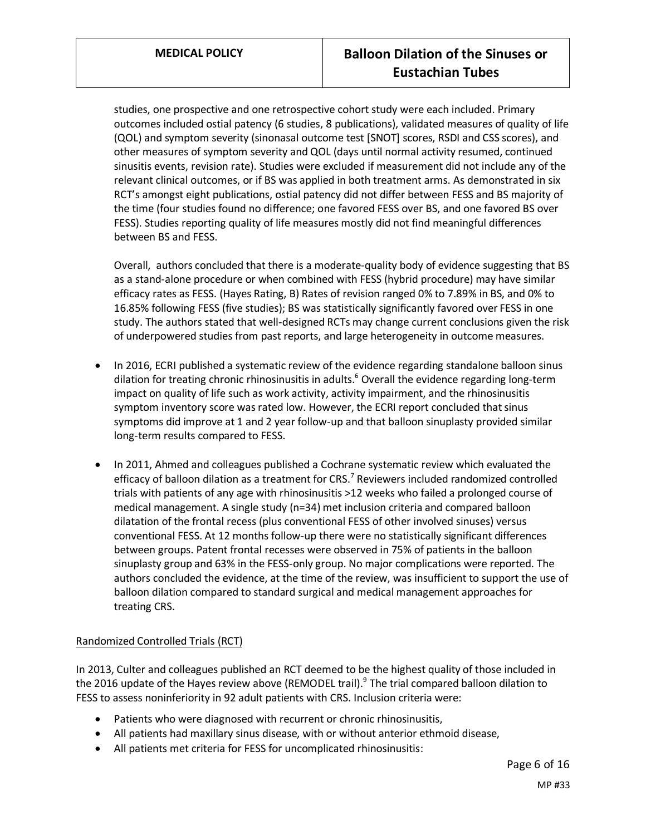studies, one prospective and one retrospective cohort study were each included. Primary outcomes included ostial patency (6 studies, 8 publications), validated measures of quality of life (QOL) and symptom severity (sinonasal outcome test [SNOT] scores, RSDI and CSS scores), and other measures of symptom severity and QOL (days until normal activity resumed, continued sinusitis events, revision rate). Studies were excluded if measurement did not include any of the relevant clinical outcomes, or if BS was applied in both treatment arms. As demonstrated in six RCT's amongst eight publications, ostial patency did not differ between FESS and BS majority of the time (four studies found no difference; one favored FESS over BS, and one favored BS over FESS). Studies reporting quality of life measures mostly did not find meaningful differences between BS and FESS.

Overall, authors concluded that there is a moderate-quality body of evidence suggesting that BS as a stand-alone procedure or when combined with FESS (hybrid procedure) may have similar efficacy rates as FESS. (Hayes Rating, B) Rates of revision ranged 0% to 7.89% in BS, and 0% to 16.85% following FESS (five studies); BS was statistically significantly favored over FESS in one study. The authors stated that well-designed RCTs may change current conclusions given the risk of underpowered studies from past reports, and large heterogeneity in outcome measures.

- In 2016, ECRI published a systematic review of the evidence regarding standalone balloon sinus dilation for treating chronic rhinosinusitis in adults.<sup>6</sup> Overall the evidence regarding long-term impact on quality of life such as work activity, activity impairment, and the rhinosinusitis symptom inventory score was rated low. However, the ECRI report concluded that sinus symptoms did improve at 1 and 2 year follow-up and that balloon sinuplasty provided similar long-term results compared to FESS.
- In 2011, Ahmed and colleagues published a Cochrane systematic review which evaluated the efficacy of balloon dilation as a treatment for CRS.<sup>7</sup> Reviewers included randomized controlled trials with patients of any age with rhinosinusitis >12 weeks who failed a prolonged course of medical management. A single study (n=34) met inclusion criteria and compared balloon dilatation of the frontal recess (plus conventional FESS of other involved sinuses) versus conventional FESS. At 12 months follow-up there were no statistically significant differences between groups. Patent frontal recesses were observed in 75% of patients in the balloon sinuplasty group and 63% in the FESS-only group. No major complications were reported. The authors concluded the evidence, at the time of the review, was insufficient to support the use of balloon dilation compared to standard surgical and medical management approaches for treating CRS.

# Randomized Controlled Trials (RCT)

In 2013, Culter and colleagues published an RCT deemed to be the highest quality of those included in the 2016 update of the Hayes review above (REMODEL trail).<sup>9</sup> The trial compared balloon dilation to FESS to assess noninferiority in 92 adult patients with CRS. Inclusion criteria were:

- Patients who were diagnosed with recurrent or chronic rhinosinusitis,
- All patients had maxillary sinus disease, with or without anterior ethmoid disease,
- All patients met criteria for FESS for uncomplicated rhinosinusitis: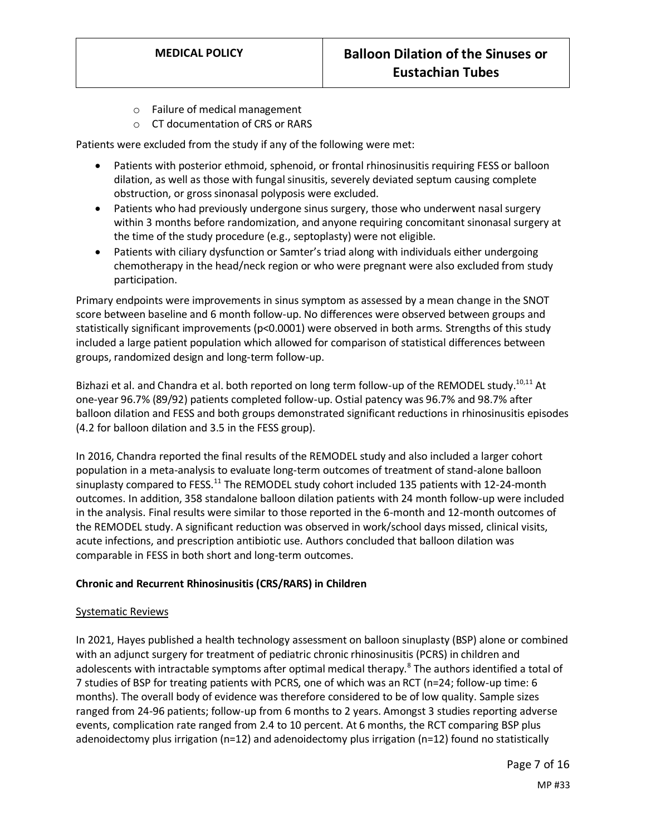- o Failure of medical management
- o CT documentation of CRS or RARS

Patients were excluded from the study if any of the following were met:

- Patients with posterior ethmoid, sphenoid, or frontal rhinosinusitis requiring FESS or balloon dilation, as well as those with fungal sinusitis, severely deviated septum causing complete obstruction, or gross sinonasal polyposis were excluded.
- Patients who had previously undergone sinus surgery, those who underwent nasal surgery within 3 months before randomization, and anyone requiring concomitant sinonasal surgery at the time of the study procedure (e.g., septoplasty) were not eligible.
- Patients with ciliary dysfunction or Samter's triad along with individuals either undergoing chemotherapy in the head/neck region or who were pregnant were also excluded from study participation.

Primary endpoints were improvements in sinus symptom as assessed by a mean change in the SNOT score between baseline and 6 month follow-up. No differences were observed between groups and statistically significant improvements (p<0.0001) were observed in both arms. Strengths of this study included a large patient population which allowed for comparison of statistical differences between groups, randomized design and long-term follow-up.

Bizhazi et al. and Chandra et al. both reported on long term follow-up of the REMODEL study.<sup>10,11</sup> At one-year 96.7% (89/92) patients completed follow-up. Ostial patency was 96.7% and 98.7% after balloon dilation and FESS and both groups demonstrated significant reductions in rhinosinusitis episodes (4.2 for balloon dilation and 3.5 in the FESS group).

In 2016, Chandra reported the final results of the REMODEL study and also included a larger cohort population in a meta-analysis to evaluate long-term outcomes of treatment of stand-alone balloon sinuplasty compared to FESS.<sup>11</sup> The REMODEL study cohort included 135 patients with 12-24-month outcomes. In addition, 358 standalone balloon dilation patients with 24 month follow-up were included in the analysis. Final results were similar to those reported in the 6-month and 12-month outcomes of the REMODEL study. A significant reduction was observed in work/school days missed, clinical visits, acute infections, and prescription antibiotic use. Authors concluded that balloon dilation was comparable in FESS in both short and long-term outcomes.

# **Chronic and Recurrent Rhinosinusitis (CRS/RARS) in Children**

## Systematic Reviews

In 2021, Hayes published a health technology assessment on balloon sinuplasty (BSP) alone or combined with an adjunct surgery for treatment of pediatric chronic rhinosinusitis (PCRS) in children and adolescents with intractable symptoms after optimal medical therapy.<sup>8</sup> The authors identified a total of 7 studies of BSP for treating patients with PCRS, one of which was an RCT (n=24; follow-up time: 6 months). The overall body of evidence was therefore considered to be of low quality. Sample sizes ranged from 24-96 patients; follow-up from 6 months to 2 years. Amongst 3 studies reporting adverse events, complication rate ranged from 2.4 to 10 percent. At 6 months, the RCT comparing BSP plus adenoidectomy plus irrigation (n=12) and adenoidectomy plus irrigation (n=12) found no statistically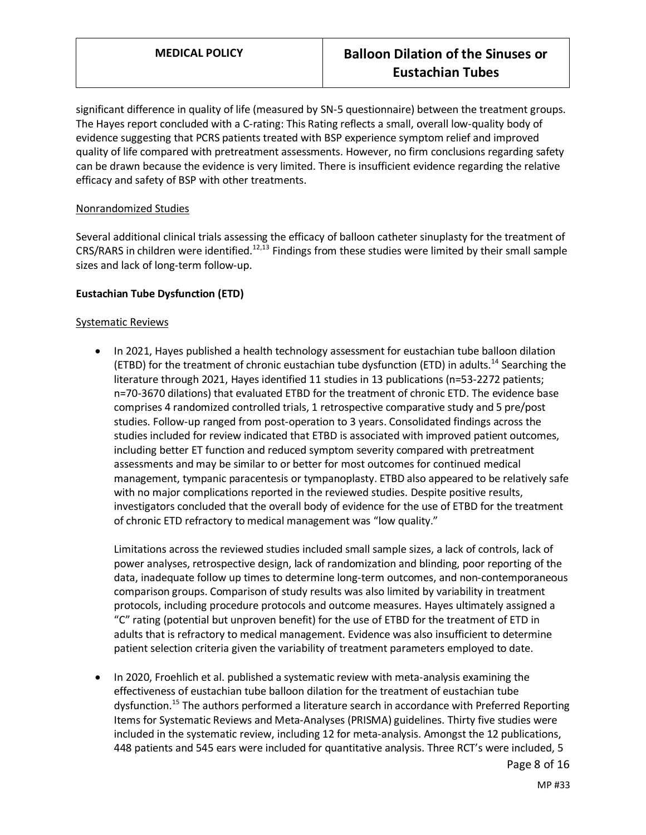significant difference in quality of life (measured by SN-5 questionnaire) between the treatment groups. The Hayes report concluded with a C-rating: This Rating reflects a small, overall low-quality body of evidence suggesting that PCRS patients treated with BSP experience symptom relief and improved quality of life compared with pretreatment assessments. However, no firm conclusions regarding safety can be drawn because the evidence is very limited. There is insufficient evidence regarding the relative efficacy and safety of BSP with other treatments.

## Nonrandomized Studies

Several additional clinical trials assessing the efficacy of balloon catheter sinuplasty for the treatment of CRS/RARS in children were identified.<sup>12,13</sup> Findings from these studies were limited by their small sample sizes and lack of long-term follow-up.

## **Eustachian Tube Dysfunction (ETD)**

#### Systematic Reviews

• In 2021, Hayes published a health technology assessment for eustachian tube balloon dilation (ETBD) for the treatment of chronic eustachian tube dysfunction (ETD) in adults.<sup>14</sup> Searching the literature through 2021, Hayes identified 11 studies in 13 publications (n=53-2272 patients; n=70-3670 dilations) that evaluated ETBD for the treatment of chronic ETD. The evidence base comprises 4 randomized controlled trials, 1 retrospective comparative study and 5 pre/post studies. Follow-up ranged from post-operation to 3 years. Consolidated findings across the studies included for review indicated that ETBD is associated with improved patient outcomes, including better ET function and reduced symptom severity compared with pretreatment assessments and may be similar to or better for most outcomes for continued medical management, tympanic paracentesis or tympanoplasty. ETBD also appeared to be relatively safe with no major complications reported in the reviewed studies. Despite positive results, investigators concluded that the overall body of evidence for the use of ETBD for the treatment of chronic ETD refractory to medical management was "low quality."

Limitations across the reviewed studies included small sample sizes, a lack of controls, lack of power analyses, retrospective design, lack of randomization and blinding, poor reporting of the data, inadequate follow up times to determine long-term outcomes, and non-contemporaneous comparison groups. Comparison of study results was also limited by variability in treatment protocols, including procedure protocols and outcome measures. Hayes ultimately assigned a "C" rating (potential but unproven benefit) for the use of ETBD for the treatment of ETD in adults that is refractory to medical management. Evidence was also insufficient to determine patient selection criteria given the variability of treatment parameters employed to date.

• In 2020, Froehlich et al. published a systematic review with meta-analysis examining the effectiveness of eustachian tube balloon dilation for the treatment of eustachian tube dysfunction.<sup>15</sup> The authors performed a literature search in accordance with Preferred Reporting Items for Systematic Reviews and Meta-Analyses (PRISMA) guidelines. Thirty five studies were included in the systematic review, including 12 for meta-analysis. Amongst the 12 publications, 448 patients and 545 ears were included for quantitative analysis. Three RCT's were included, 5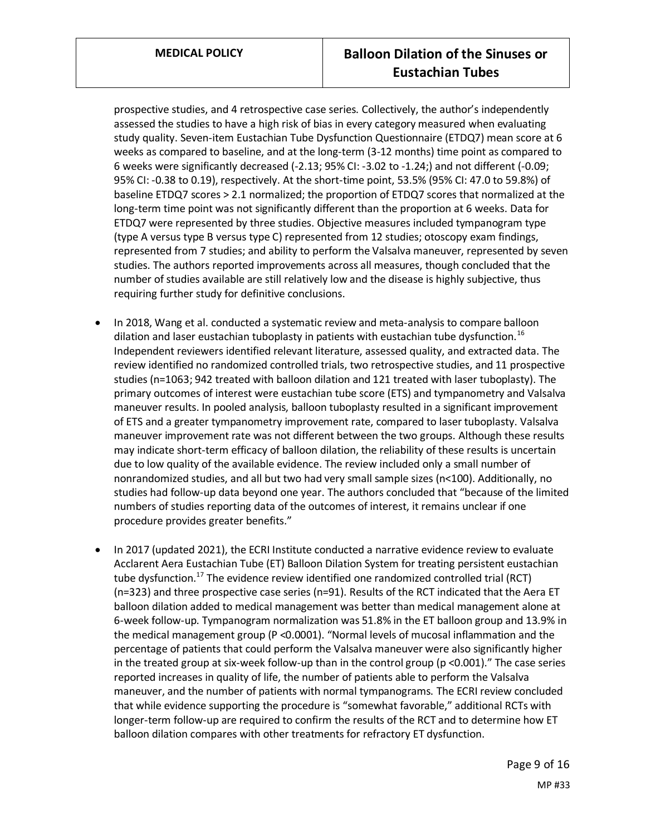prospective studies, and 4 retrospective case series. Collectively, the author's independently assessed the studies to have a high risk of bias in every category measured when evaluating study quality. Seven-item Eustachian Tube Dysfunction Questionnaire (ETDQ7) mean score at 6 weeks as compared to baseline, and at the long-term (3-12 months) time point as compared to 6 weeks were significantly decreased (-2.13; 95% CI: -3.02 to -1.24;) and not different (-0.09; 95% CI: -0.38 to 0.19), respectively. At the short-time point, 53.5% (95% CI: 47.0 to 59.8%) of baseline ETDQ7 scores > 2.1 normalized; the proportion of ETDQ7 scores that normalized at the long-term time point was not significantly different than the proportion at 6 weeks. Data for ETDQ7 were represented by three studies. Objective measures included tympanogram type (type A versus type B versus type C) represented from 12 studies; otoscopy exam findings, represented from 7 studies; and ability to perform the Valsalva maneuver, represented by seven studies. The authors reported improvements across all measures, though concluded that the number of studies available are still relatively low and the disease is highly subjective, thus requiring further study for definitive conclusions.

- In 2018, Wang et al. conducted a systematic review and meta-analysis to compare balloon dilation and laser eustachian tuboplasty in patients with eustachian tube dysfunction.<sup>16</sup> Independent reviewers identified relevant literature, assessed quality, and extracted data. The review identified no randomized controlled trials, two retrospective studies, and 11 prospective studies (n=1063; 942 treated with balloon dilation and 121 treated with laser tuboplasty). The primary outcomes of interest were eustachian tube score (ETS) and tympanometry and Valsalva maneuver results. In pooled analysis, balloon tuboplasty resulted in a significant improvement of ETS and a greater tympanometry improvement rate, compared to laser tuboplasty. Valsalva maneuver improvement rate was not different between the two groups. Although these results may indicate short-term efficacy of balloon dilation, the reliability of these results is uncertain due to low quality of the available evidence. The review included only a small number of nonrandomized studies, and all but two had very small sample sizes (n<100). Additionally, no studies had follow-up data beyond one year. The authors concluded that "because of the limited numbers of studies reporting data of the outcomes of interest, it remains unclear if one procedure provides greater benefits."
- In 2017 (updated 2021), the ECRI Institute conducted a narrative evidence review to evaluate Acclarent Aera Eustachian Tube (ET) Balloon Dilation System for treating persistent eustachian tube dysfunction.<sup>17</sup> The evidence review identified one randomized controlled trial (RCT) (n=323) and three prospective case series (n=91). Results of the RCT indicated that the Aera ET balloon dilation added to medical management was better than medical management alone at 6-week follow-up. Tympanogram normalization was 51.8% in the ET balloon group and 13.9% in the medical management group (P <0.0001). "Normal levels of mucosal inflammation and the percentage of patients that could perform the Valsalva maneuver were also significantly higher in the treated group at six-week follow-up than in the control group (p <0.001)." The case series reported increases in quality of life, the number of patients able to perform the Valsalva maneuver, and the number of patients with normal tympanograms. The ECRI review concluded that while evidence supporting the procedure is "somewhat favorable," additional RCTs with longer-term follow-up are required to confirm the results of the RCT and to determine how ET balloon dilation compares with other treatments for refractory ET dysfunction.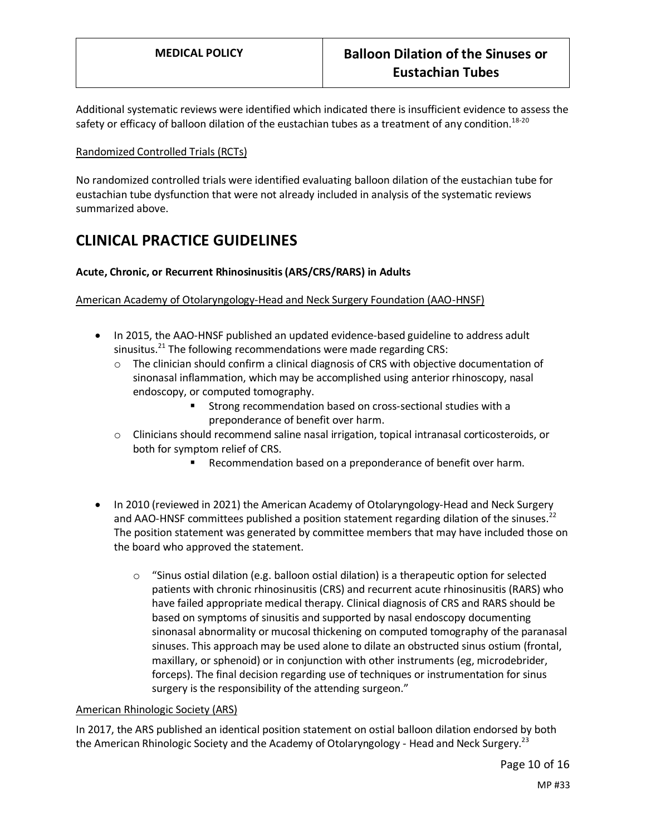Additional systematic reviews were identified which indicated there is insufficient evidence to assess the safety or efficacy of balloon dilation of the eustachian tubes as a treatment of any condition.<sup>18-20</sup>

## Randomized Controlled Trials (RCTs)

No randomized controlled trials were identified evaluating balloon dilation of the eustachian tube for eustachian tube dysfunction that were not already included in analysis of the systematic reviews summarized above.

# **CLINICAL PRACTICE GUIDELINES**

## **Acute, Chronic, or Recurrent Rhinosinusitis (ARS/CRS/RARS) in Adults**

American Academy of Otolaryngology-Head and Neck Surgery Foundation (AAO-HNSF)

- In 2015, the AAO-HNSF published an updated evidence-based guideline to address adult sinusitus.<sup>21</sup> The following recommendations were made regarding CRS:
	- $\circ$  The clinician should confirm a clinical diagnosis of CRS with objective documentation of sinonasal inflammation, which may be accomplished using anterior rhinoscopy, nasal endoscopy, or computed tomography.
		- Strong recommendation based on cross-sectional studies with a preponderance of benefit over harm.
	- o Clinicians should recommend saline nasal irrigation, topical intranasal corticosteroids, or both for symptom relief of CRS.
		- Recommendation based on a preponderance of benefit over harm.
- In 2010 (reviewed in 2021) the American Academy of Otolaryngology-Head and Neck Surgery and AAO-HNSF committees published a position statement regarding dilation of the sinuses.<sup>22</sup> The position statement was generated by committee members that may have included those on the board who approved the statement.
	- $\circ$  "Sinus ostial dilation (e.g. balloon ostial dilation) is a therapeutic option for selected patients with chronic rhinosinusitis (CRS) and recurrent acute rhinosinusitis (RARS) who have failed appropriate medical therapy. Clinical diagnosis of CRS and RARS should be based on symptoms of sinusitis and supported by nasal endoscopy documenting sinonasal abnormality or mucosal thickening on computed tomography of the paranasal sinuses. This approach may be used alone to dilate an obstructed sinus ostium (frontal, maxillary, or sphenoid) or in conjunction with other instruments (eg, microdebrider, forceps). The final decision regarding use of techniques or instrumentation for sinus surgery is the responsibility of the attending surgeon."

## American Rhinologic Society (ARS)

In 2017, the ARS published an identical position statement on ostial balloon dilation endorsed by both the American Rhinologic Society and the Academy of Otolaryngology - Head and Neck Surgery.<sup>23</sup>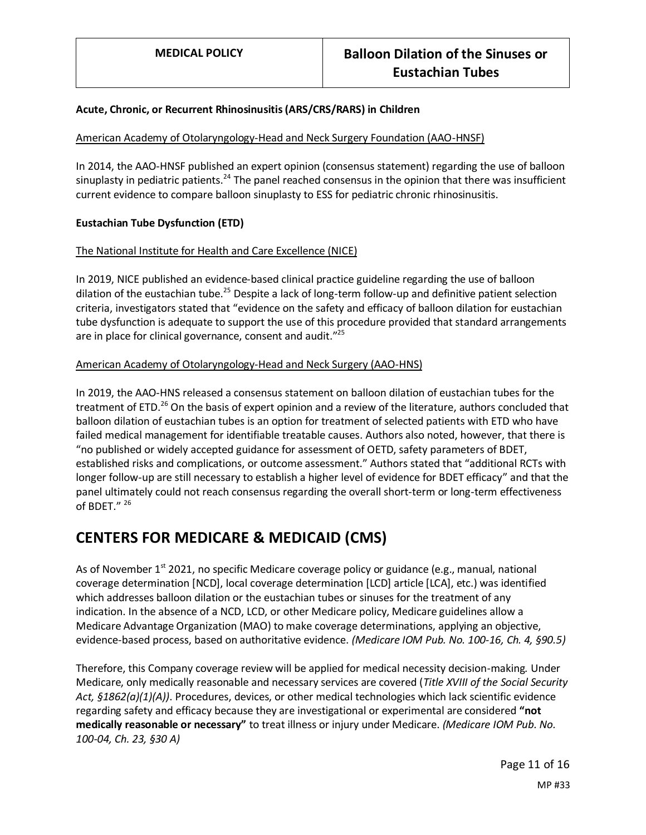## **Acute, Chronic, or Recurrent Rhinosinusitis (ARS/CRS/RARS) in Children**

## American Academy of Otolaryngology-Head and Neck Surgery Foundation (AAO-HNSF)

In 2014, the AAO-HNSF published an expert opinion (consensus statement) regarding the use of balloon sinuplasty in pediatric patients.<sup>24</sup> The panel reached consensus in the opinion that there was insufficient current evidence to compare balloon sinuplasty to ESS for pediatric chronic rhinosinusitis.

## **Eustachian Tube Dysfunction (ETD)**

## The National Institute for Health and Care Excellence (NICE)

In 2019, NICE published an evidence-based clinical practice guideline regarding the use of balloon dilation of the eustachian tube.<sup>25</sup> Despite a lack of long-term follow-up and definitive patient selection criteria, investigators stated that "evidence on the safety and efficacy of balloon dilation for eustachian tube dysfunction is adequate to support the use of this procedure provided that standard arrangements are in place for clinical governance, consent and audit."<sup>25</sup>

## American Academy of Otolaryngology-Head and Neck Surgery (AAO-HNS)

In 2019, the AAO-HNS released a consensus statement on balloon dilation of eustachian tubes for the treatment of ETD.<sup>26</sup> On the basis of expert opinion and a review of the literature, authors concluded that balloon dilation of eustachian tubes is an option for treatment of selected patients with ETD who have failed medical management for identifiable treatable causes. Authors also noted, however, that there is "no published or widely accepted guidance for assessment of OETD, safety parameters of BDET, established risks and complications, or outcome assessment." Authors stated that "additional RCTs with longer follow-up are still necessary to establish a higher level of evidence for BDET efficacy" and that the panel ultimately could not reach consensus regarding the overall short-term or long-term effectiveness of BDET." 26

# **CENTERS FOR MEDICARE & MEDICAID (CMS)**

As of November  $1^{st}$  2021, no specific Medicare coverage policy or guidance (e.g., manual, national coverage determination [NCD], local coverage determination [LCD] article [LCA], etc.) was identified which addresses balloon dilation or the eustachian tubes or sinuses for the treatment of any indication. In the absence of a NCD, LCD, or other Medicare policy, Medicare guidelines allow a Medicare Advantage Organization (MAO) to make coverage determinations, applying an objective, evidence-based process, based on authoritative evidence. *(Medicare IOM Pub. No. 100-16, Ch. 4, §90.5)*

Therefore, this Company coverage review will be applied for medical necessity decision-making*.* Under Medicare, only medically reasonable and necessary services are covered (*Title XVIII of the Social Security Act, §1862(a)(1)(A))*. Procedures, devices, or other medical technologies which lack scientific evidence regarding safety and efficacy because they are investigational or experimental are considered **"not medically reasonable or necessary"** to treat illness or injury under Medicare. *(Medicare IOM Pub. No. 100-04, Ch. 23, §30 A)*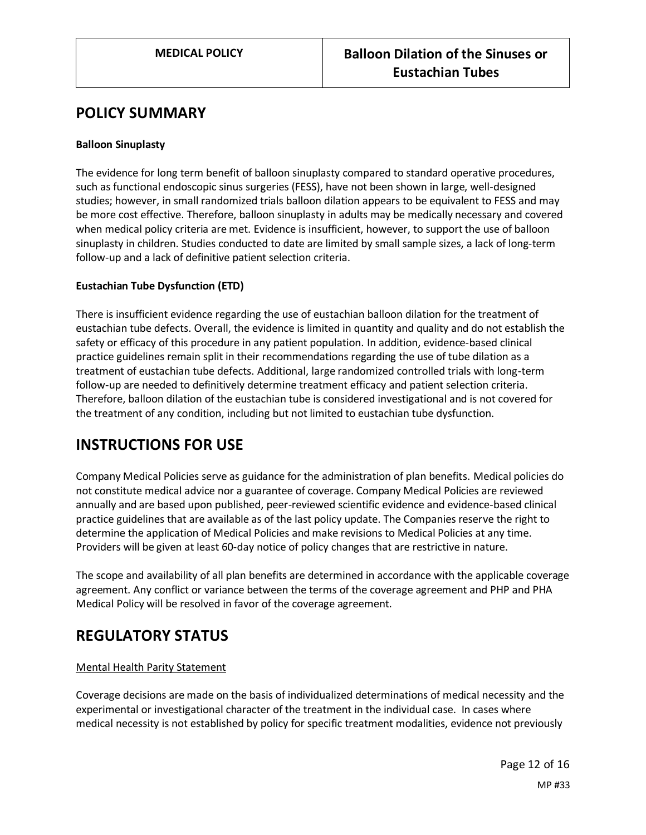# **POLICY SUMMARY**

## **Balloon Sinuplasty**

The evidence for long term benefit of balloon sinuplasty compared to standard operative procedures, such as functional endoscopic sinus surgeries (FESS), have not been shown in large, well-designed studies; however, in small randomized trials balloon dilation appears to be equivalent to FESS and may be more cost effective. Therefore, balloon sinuplasty in adults may be medically necessary and covered when medical policy criteria are met. Evidence is insufficient, however, to support the use of balloon sinuplasty in children. Studies conducted to date are limited by small sample sizes, a lack of long-term follow-up and a lack of definitive patient selection criteria.

## **Eustachian Tube Dysfunction (ETD)**

There is insufficient evidence regarding the use of eustachian balloon dilation for the treatment of eustachian tube defects. Overall, the evidence is limited in quantity and quality and do not establish the safety or efficacy of this procedure in any patient population. In addition, evidence-based clinical practice guidelines remain split in their recommendations regarding the use of tube dilation as a treatment of eustachian tube defects. Additional, large randomized controlled trials with long-term follow-up are needed to definitively determine treatment efficacy and patient selection criteria. Therefore, balloon dilation of the eustachian tube is considered investigational and is not covered for the treatment of any condition, including but not limited to eustachian tube dysfunction.

# **INSTRUCTIONS FOR USE**

Company Medical Policies serve as guidance for the administration of plan benefits. Medical policies do not constitute medical advice nor a guarantee of coverage. Company Medical Policies are reviewed annually and are based upon published, peer-reviewed scientific evidence and evidence-based clinical practice guidelines that are available as of the last policy update. The Companies reserve the right to determine the application of Medical Policies and make revisions to Medical Policies at any time. Providers will be given at least 60-day notice of policy changes that are restrictive in nature.

The scope and availability of all plan benefits are determined in accordance with the applicable coverage agreement. Any conflict or variance between the terms of the coverage agreement and PHP and PHA Medical Policy will be resolved in favor of the coverage agreement.

# **REGULATORY STATUS**

## Mental Health Parity Statement

Coverage decisions are made on the basis of individualized determinations of medical necessity and the experimental or investigational character of the treatment in the individual case. In cases where medical necessity is not established by policy for specific treatment modalities, evidence not previously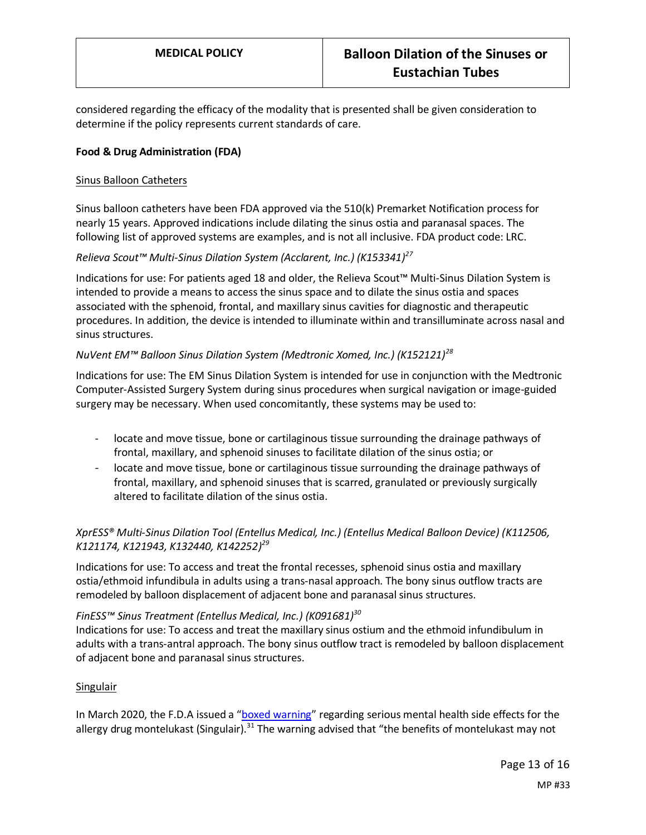considered regarding the efficacy of the modality that is presented shall be given consideration to determine if the policy represents current standards of care.

## **Food & Drug Administration (FDA)**

#### Sinus Balloon Catheters

Sinus balloon catheters have been FDA approved via the 510(k) Premarket Notification process for nearly 15 years. Approved indications include dilating the sinus ostia and paranasal spaces. The following list of approved systems are examples, and is not all inclusive. FDA product code: LRC.

## *Relieva Scout™ Multi-Sinus Dilation System (Acclarent, Inc.) (K153341)<sup>27</sup>*

Indications for use: For patients aged 18 and older, the Relieva Scout™ Multi-Sinus Dilation System is intended to provide a means to access the sinus space and to dilate the sinus ostia and spaces associated with the sphenoid, frontal, and maxillary sinus cavities for diagnostic and therapeutic procedures. In addition, the device is intended to illuminate within and transilluminate across nasal and sinus structures.

## *NuVent EM™ Balloon Sinus Dilation System (Medtronic Xomed, Inc.) (K152121)<sup>28</sup>*

Indications for use: The EM Sinus Dilation System is intended for use in conjunction with the Medtronic Computer-Assisted Surgery System during sinus procedures when surgical navigation or image-guided surgery may be necessary. When used concomitantly, these systems may be used to:

- locate and move tissue, bone or cartilaginous tissue surrounding the drainage pathways of frontal, maxillary, and sphenoid sinuses to facilitate dilation of the sinus ostia; or
- locate and move tissue, bone or cartilaginous tissue surrounding the drainage pathways of frontal, maxillary, and sphenoid sinuses that is scarred, granulated or previously surgically altered to facilitate dilation of the sinus ostia.

# *XprESS® Multi-Sinus Dilation Tool (Entellus Medical, Inc.) (Entellus Medical Balloon Device) (K112506, K121174, K121943, K132440, K142252) 29*

Indications for use: To access and treat the frontal recesses, sphenoid sinus ostia and maxillary ostia/ethmoid infundibula in adults using a trans-nasal approach. The bony sinus outflow tracts are remodeled by balloon displacement of adjacent bone and paranasal sinus structures.

## *FinESS™ Sinus Treatment (Entellus Medical, Inc.) (K091681)<sup>30</sup>*

Indications for use: To access and treat the maxillary sinus ostium and the ethmoid infundibulum in adults with a trans-antral approach. The bony sinus outflow tract is remodeled by balloon displacement of adjacent bone and paranasal sinus structures.

## Singulair

In March 2020, the F.D.A issued a "[boxed warning](https://www.fda.gov/drugs/drug-safety-and-availability/fda-requires-boxed-warning-about-serious-mental-health-side-effects-asthma-and-allergy-drug)" regarding serious mental health side effects for the allergy drug montelukast (Singulair).<sup>31</sup> The warning advised that "the benefits of montelukast may not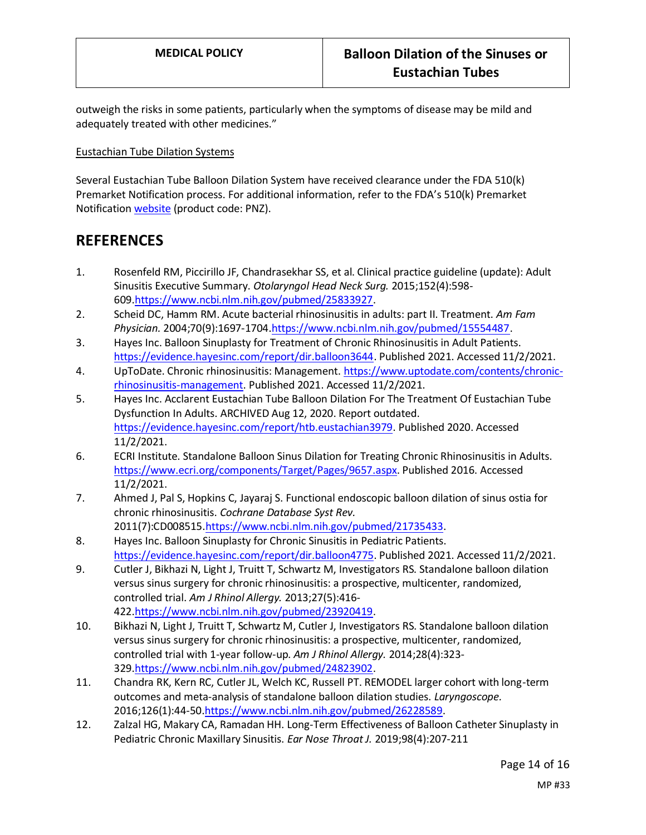outweigh the risks in some patients, particularly when the symptoms of disease may be mild and adequately treated with other medicines."

Eustachian Tube Dilation Systems

Several Eustachian Tube Balloon Dilation System have received clearance under the FDA 510(k) Premarket Notification process. For additional information, refer to the FDA's 510(k) Premarket Notification [website](https://www.accessdata.fda.gov/scripts/cdrh/cfdocs/cfPMN/pmn.cfm) (product code: PNZ).

# **REFERENCES**

- 1. Rosenfeld RM, Piccirillo JF, Chandrasekhar SS, et al. Clinical practice guideline (update): Adult Sinusitis Executive Summary. *Otolaryngol Head Neck Surg.* 2015;152(4):598- 609[.https://www.ncbi.nlm.nih.gov/pubmed/25833927.](https://www.ncbi.nlm.nih.gov/pubmed/25833927)
- 2. Scheid DC, Hamm RM. Acute bacterial rhinosinusitis in adults: part II. Treatment. *Am Fam Physician.* 2004;70(9):1697-1704[.https://www.ncbi.nlm.nih.gov/pubmed/15554487.](https://www.ncbi.nlm.nih.gov/pubmed/15554487)
- 3. Hayes Inc. Balloon Sinuplasty for Treatment of Chronic Rhinosinusitis in Adult Patients. [https://evidence.hayesinc.com/report/dir.balloon3644.](https://evidence.hayesinc.com/report/dir.balloon3644) Published 2021. Accessed 11/2/2021.
- 4. UpToDate. Chronic rhinosinusitis: Management[. https://www.uptodate.com/contents/chronic](https://www.uptodate.com/contents/chronic-rhinosinusitis-management)[rhinosinusitis-management.](https://www.uptodate.com/contents/chronic-rhinosinusitis-management) Published 2021. Accessed 11/2/2021.
- 5. Hayes Inc. Acclarent Eustachian Tube Balloon Dilation For The Treatment Of Eustachian Tube Dysfunction In Adults. ARCHIVED Aug 12, 2020. Report outdated. [https://evidence.hayesinc.com/report/htb.eustachian3979.](https://evidence.hayesinc.com/report/htb.eustachian3979) Published 2020. Accessed 11/2/2021.
- 6. ECRI Institute. Standalone Balloon Sinus Dilation for Treating Chronic Rhinosinusitis in Adults. [https://www.ecri.org/components/Target/Pages/9657.aspx.](https://www.ecri.org/components/Target/Pages/9657.aspx) Published 2016. Accessed 11/2/2021.
- 7. Ahmed J, Pal S, Hopkins C, Jayaraj S. Functional endoscopic balloon dilation of sinus ostia for chronic rhinosinusitis. *Cochrane Database Syst Rev.*  2011(7):CD008515[.https://www.ncbi.nlm.nih.gov/pubmed/21735433.](https://www.ncbi.nlm.nih.gov/pubmed/21735433)
- 8. Hayes Inc. Balloon Sinuplasty for Chronic Sinusitis in Pediatric Patients. [https://evidence.hayesinc.com/report/dir.balloon4775.](https://evidence.hayesinc.com/report/dir.balloon4775) Published 2021. Accessed 11/2/2021.
- 9. Cutler J, Bikhazi N, Light J, Truitt T, Schwartz M, Investigators RS. Standalone balloon dilation versus sinus surgery for chronic rhinosinusitis: a prospective, multicenter, randomized, controlled trial. *Am J Rhinol Allergy.* 2013;27(5):416- 422[.https://www.ncbi.nlm.nih.gov/pubmed/23920419.](https://www.ncbi.nlm.nih.gov/pubmed/23920419)
- 10. Bikhazi N, Light J, Truitt T, Schwartz M, Cutler J, Investigators RS. Standalone balloon dilation versus sinus surgery for chronic rhinosinusitis: a prospective, multicenter, randomized, controlled trial with 1-year follow-up. *Am J Rhinol Allergy.* 2014;28(4):323- 329[.https://www.ncbi.nlm.nih.gov/pubmed/24823902.](https://www.ncbi.nlm.nih.gov/pubmed/24823902)
- 11. Chandra RK, Kern RC, Cutler JL, Welch KC, Russell PT. REMODEL larger cohort with long-term outcomes and meta-analysis of standalone balloon dilation studies. *Laryngoscope.*  2016;126(1):44-5[0.https://www.ncbi.nlm.nih.gov/pubmed/26228589.](https://www.ncbi.nlm.nih.gov/pubmed/26228589)
- 12. Zalzal HG, Makary CA, Ramadan HH. Long-Term Effectiveness of Balloon Catheter Sinuplasty in Pediatric Chronic Maxillary Sinusitis. *Ear Nose Throat J.* 2019;98(4):207-211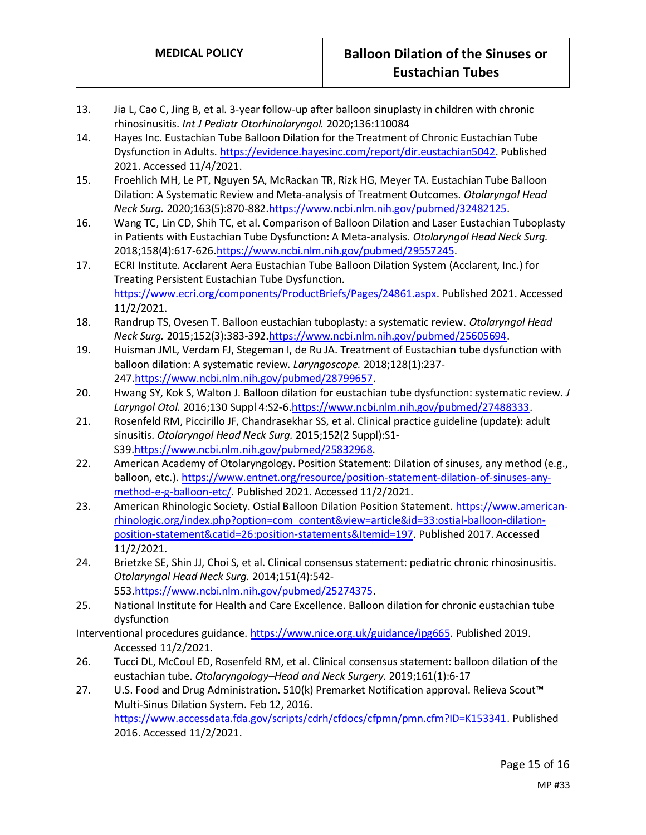- 13. Jia L, Cao C, Jing B, et al. 3-year follow-up after balloon sinuplasty in children with chronic rhinosinusitis. *Int J Pediatr Otorhinolaryngol.* 2020;136:110084
- 14. Hayes Inc. Eustachian Tube Balloon Dilation for the Treatment of Chronic Eustachian Tube Dysfunction in Adults. [https://evidence.hayesinc.com/report/dir.eustachian5042.](https://evidence.hayesinc.com/report/dir.eustachian5042) Published 2021. Accessed 11/4/2021.
- 15. Froehlich MH, Le PT, Nguyen SA, McRackan TR, Rizk HG, Meyer TA. Eustachian Tube Balloon Dilation: A Systematic Review and Meta-analysis of Treatment Outcomes. *Otolaryngol Head Neck Surg.* 2020;163(5):870-88[2.https://www.ncbi.nlm.nih.gov/pubmed/32482125.](https://www.ncbi.nlm.nih.gov/pubmed/32482125)
- 16. Wang TC, Lin CD, Shih TC, et al. Comparison of Balloon Dilation and Laser Eustachian Tuboplasty in Patients with Eustachian Tube Dysfunction: A Meta-analysis. *Otolaryngol Head Neck Surg.*  2018;158(4):617-62[6.https://www.ncbi.nlm.nih.gov/pubmed/29557245.](https://www.ncbi.nlm.nih.gov/pubmed/29557245)
- 17. ECRI Institute. Acclarent Aera Eustachian Tube Balloon Dilation System (Acclarent, Inc.) for Treating Persistent Eustachian Tube Dysfunction. [https://www.ecri.org/components/ProductBriefs/Pages/24861.aspx.](https://www.ecri.org/components/ProductBriefs/Pages/24861.aspx) Published 2021. Accessed 11/2/2021.
- 18. Randrup TS, Ovesen T. Balloon eustachian tuboplasty: a systematic review. *Otolaryngol Head Neck Surg.* 2015;152(3):383-39[2.https://www.ncbi.nlm.nih.gov/pubmed/25605694.](https://www.ncbi.nlm.nih.gov/pubmed/25605694)
- 19. Huisman JML, Verdam FJ, Stegeman I, de Ru JA. Treatment of Eustachian tube dysfunction with balloon dilation: A systematic review. *Laryngoscope.* 2018;128(1):237- 247[.https://www.ncbi.nlm.nih.gov/pubmed/28799657.](https://www.ncbi.nlm.nih.gov/pubmed/28799657)
- 20. Hwang SY, Kok S, Walton J. Balloon dilation for eustachian tube dysfunction: systematic review. *J Laryngol Otol.* 2016;130 Suppl 4:S2-6[.https://www.ncbi.nlm.nih.gov/pubmed/27488333.](https://www.ncbi.nlm.nih.gov/pubmed/27488333)
- 21. Rosenfeld RM, Piccirillo JF, Chandrasekhar SS, et al. Clinical practice guideline (update): adult sinusitis. *Otolaryngol Head Neck Surg.* 2015;152(2 Suppl):S1- S39[.https://www.ncbi.nlm.nih.gov/pubmed/25832968.](https://www.ncbi.nlm.nih.gov/pubmed/25832968)
- 22. American Academy of Otolaryngology. Position Statement: Dilation of sinuses, any method (e.g., balloon, etc.). [https://www.entnet.org/resource/position-statement-dilation-of-sinuses-any](https://www.entnet.org/resource/position-statement-dilation-of-sinuses-any-method-e-g-balloon-etc/)[method-e-g-balloon-etc/.](https://www.entnet.org/resource/position-statement-dilation-of-sinuses-any-method-e-g-balloon-etc/) Published 2021. Accessed 11/2/2021.
- 23. American Rhinologic Society. Ostial Balloon Dilation Position Statement. [https://www.american](https://www.american-rhinologic.org/index.php?option=com_content&view=article&id=33:ostial-balloon-dilation-position-statement&catid=26:position-statements&Itemid=197)[rhinologic.org/index.php?option=com\\_content&view=article&id=33:ostial-balloon-dilation](https://www.american-rhinologic.org/index.php?option=com_content&view=article&id=33:ostial-balloon-dilation-position-statement&catid=26:position-statements&Itemid=197)[position-statement&catid=26:position-statements&Itemid=197.](https://www.american-rhinologic.org/index.php?option=com_content&view=article&id=33:ostial-balloon-dilation-position-statement&catid=26:position-statements&Itemid=197) Published 2017. Accessed 11/2/2021.
- 24. Brietzke SE, Shin JJ, Choi S, et al. Clinical consensus statement: pediatric chronic rhinosinusitis. *Otolaryngol Head Neck Surg.* 2014;151(4):542- 553[.https://www.ncbi.nlm.nih.gov/pubmed/25274375.](https://www.ncbi.nlm.nih.gov/pubmed/25274375)
- 25. National Institute for Health and Care Excellence. Balloon dilation for chronic eustachian tube dysfunction
- Interventional procedures guidance[. https://www.nice.org.uk/guidance/ipg665.](https://www.nice.org.uk/guidance/ipg665) Published 2019. Accessed 11/2/2021.
- 26. Tucci DL, McCoul ED, Rosenfeld RM, et al. Clinical consensus statement: balloon dilation of the eustachian tube. *Otolaryngology–Head and Neck Surgery.* 2019;161(1):6-17
- 27. U.S. Food and Drug Administration. 510(k) Premarket Notification approval. Relieva Scout™ Multi-Sinus Dilation System. Feb 12, 2016. [https://www.accessdata.fda.gov/scripts/cdrh/cfdocs/cfpmn/pmn.cfm?ID=K153341.](https://www.accessdata.fda.gov/scripts/cdrh/cfdocs/cfpmn/pmn.cfm?ID=K153341) Published 2016. Accessed 11/2/2021.